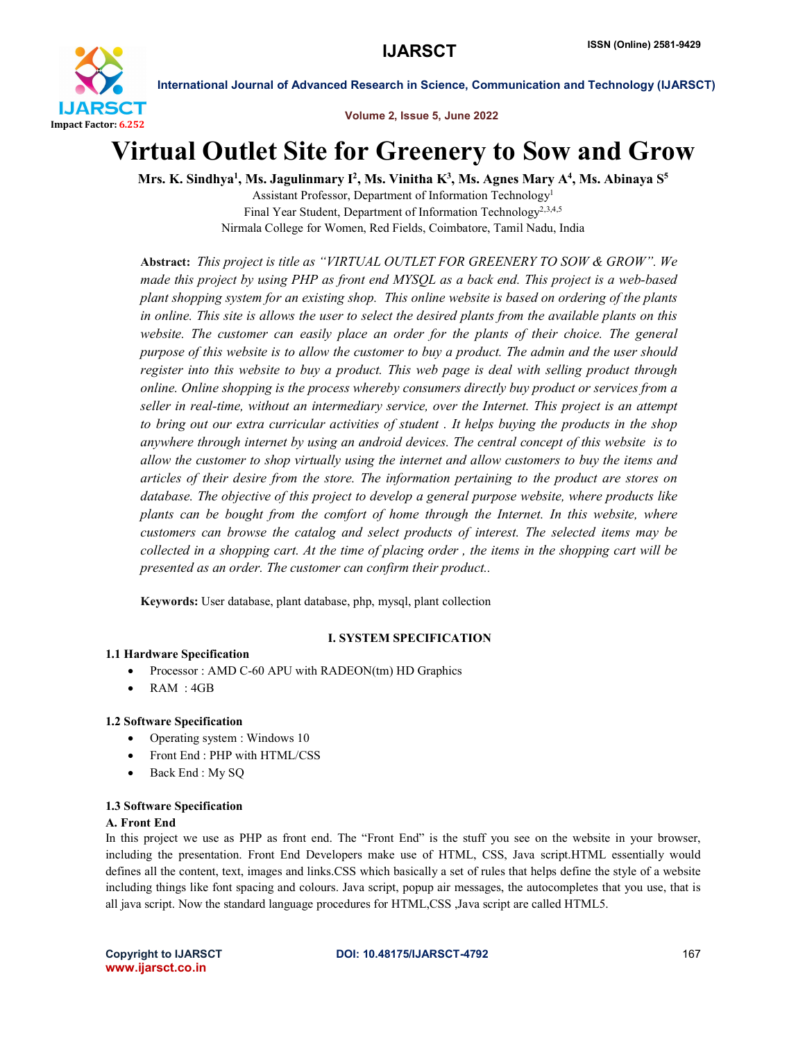

Volume 2, Issue 5, June 2022

# Virtual Outlet Site for Greenery to Sow and Grow

Mrs. K. Sindhya<sup>1</sup>, Ms. Jagulinmary I<sup>2</sup>, Ms. Vinitha K<sup>3</sup>, Ms. Agnes Mary A<sup>4</sup>, Ms. Abinaya S<sup>5</sup>

Assistant Professor, Department of Information Technology1 Final Year Student, Department of Information Technology<sup>2,3,4,5</sup> Nirmala College for Women, Red Fields, Coimbatore, Tamil Nadu, India

Abstract: *This project is title as "VIRTUAL OUTLET FOR GREENERY TO SOW & GROW". We made this project by using PHP as front end MYSQL as a back end. This project is a web-based plant shopping system for an existing shop. This online website is based on ordering of the plants in online. This site is allows the user to select the desired plants from the available plants on this*  website. The customer can easily place an order for the plants of their choice. The general *purpose of this website is to allow the customer to buy a product. The admin and the user should register into this website to buy a product. This web page is deal with selling product through online. Online shopping is the process whereby consumers directly buy product or services from a seller in real-time, without an intermediary service, over the Internet. This project is an attempt to bring out our extra curricular activities of student . It helps buying the products in the shop anywhere through internet by using an android devices. The central concept of this website is to allow the customer to shop virtually using the internet and allow customers to buy the items and articles of their desire from the store. The information pertaining to the product are stores on database. The objective of this project to develop a general purpose website, where products like plants can be bought from the comfort of home through the Internet. In this website, where customers can browse the catalog and select products of interest. The selected items may be collected in a shopping cart. At the time of placing order , the items in the shopping cart will be presented as an order. The customer can confirm their product..*

Keywords: User database, plant database, php, mysql, plant collection

# I. SYSTEM SPECIFICATION

# 1.1 Hardware Specification

- Processor : AMD C-60 APU with RADEON(tm) HD Graphics
- RAM : 4GB

# 1.2 Software Specification

- Operating system : Windows 10
- Front End : PHP with HTML/CSS
- Back End : My SQ

# 1.3 Software Specification

# A. Front End

In this project we use as PHP as front end. The "Front End" is the stuff you see on the website in your browser, including the presentation. Front End Developers make use of HTML, CSS, Java script.HTML essentially would defines all the content, text, images and links.CSS which basically a set of rules that helps define the style of a website including things like font spacing and colours. Java script, popup air messages, the autocompletes that you use, that is all java script. Now the standard language procedures for HTML,CSS ,Java script are called HTML5.

www.ijarsct.co.in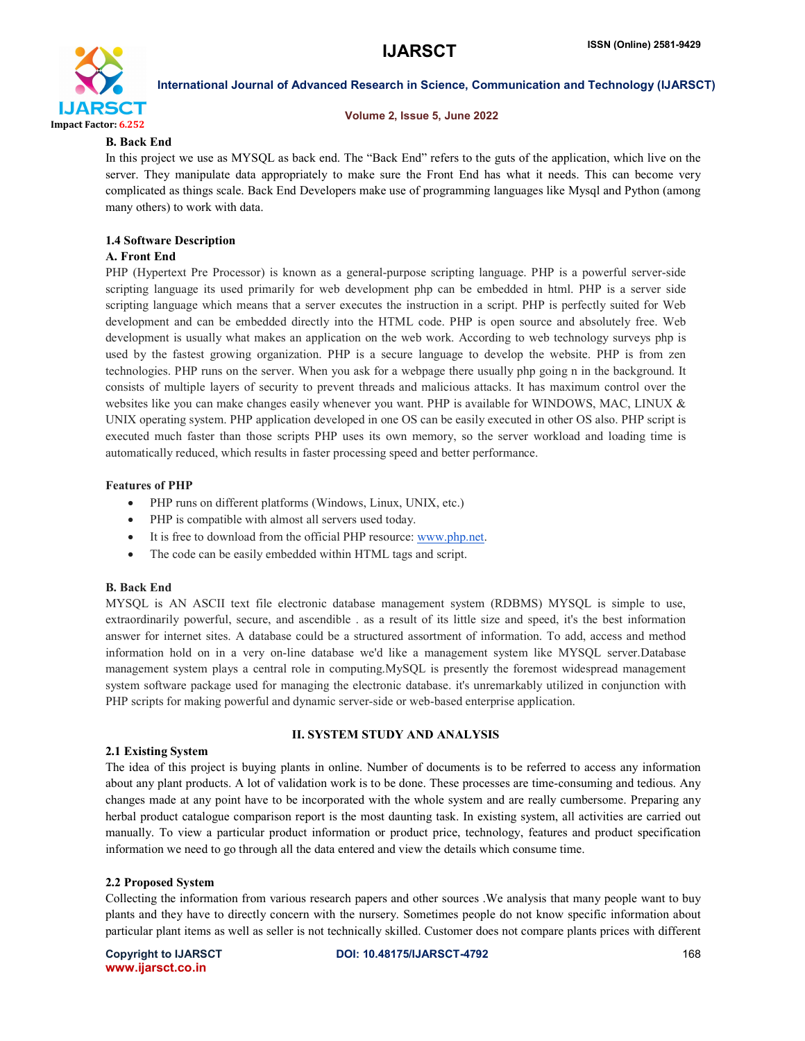

#### Volume 2, Issue 5, June 2022

#### B. Back End

In this project we use as MYSQL as back end. The "Back End" refers to the guts of the application, which live on the server. They manipulate data appropriately to make sure the Front End has what it needs. This can become very complicated as things scale. Back End Developers make use of programming languages like Mysql and Python (among many others) to work with data.

# 1.4 Software Description

#### A. Front End

PHP (Hypertext Pre Processor) is known as a general-purpose scripting language. PHP is a powerful server-side scripting language its used primarily for web development php can be embedded in html. PHP is a server side scripting language which means that a server executes the instruction in a script. PHP is perfectly suited for Web development and can be embedded directly into the HTML code. PHP is open source and absolutely free. Web development is usually what makes an application on the web work. According to web technology surveys php is used by the fastest growing organization. PHP is a secure language to develop the website. PHP is from zen technologies. PHP runs on the server. When you ask for a webpage there usually php going n in the background. It consists of multiple layers of security to prevent threads and malicious attacks. It has maximum control over the websites like you can make changes easily whenever you want. PHP is available for WINDOWS, MAC, LINUX & UNIX operating system. PHP application developed in one OS can be easily executed in other OS also. PHP script is executed much faster than those scripts PHP uses its own memory, so the server workload and loading time is automatically reduced, which results in faster processing speed and better performance.

#### Features of PHP

- PHP runs on different platforms (Windows, Linux, UNIX, etc.)
- PHP is compatible with almost all servers used today.
- It is free to download from the official PHP resource: www.php.net.
- The code can be easily embedded within HTML tags and script.

#### B. Back End

MYSQL is AN ASCII text file electronic database management system (RDBMS) MYSQL is simple to use, extraordinarily powerful, secure, and ascendible . as a result of its little size and speed, it's the best information answer for internet sites. A database could be a structured assortment of information. To add, access and method information hold on in a very on-line database we'd like a management system like MYSQL server.Database management system plays a central role in computing.MySQL is presently the foremost widespread management system software package used for managing the electronic database. it's unremarkably utilized in conjunction with PHP scripts for making powerful and dynamic server-side or web-based enterprise application.

#### II. SYSTEM STUDY AND ANALYSIS

#### 2.1 Existing System

The idea of this project is buying plants in online. Number of documents is to be referred to access any information about any plant products. A lot of validation work is to be done. These processes are time-consuming and tedious. Any changes made at any point have to be incorporated with the whole system and are really cumbersome. Preparing any herbal product catalogue comparison report is the most daunting task. In existing system, all activities are carried out manually. To view a particular product information or product price, technology, features and product specification information we need to go through all the data entered and view the details which consume time.

#### 2.2 Proposed System

Collecting the information from various research papers and other sources .We analysis that many people want to buy plants and they have to directly concern with the nursery. Sometimes people do not know specific information about particular plant items as well as seller is not technically skilled. Customer does not compare plants prices with different

www.ijarsct.co.in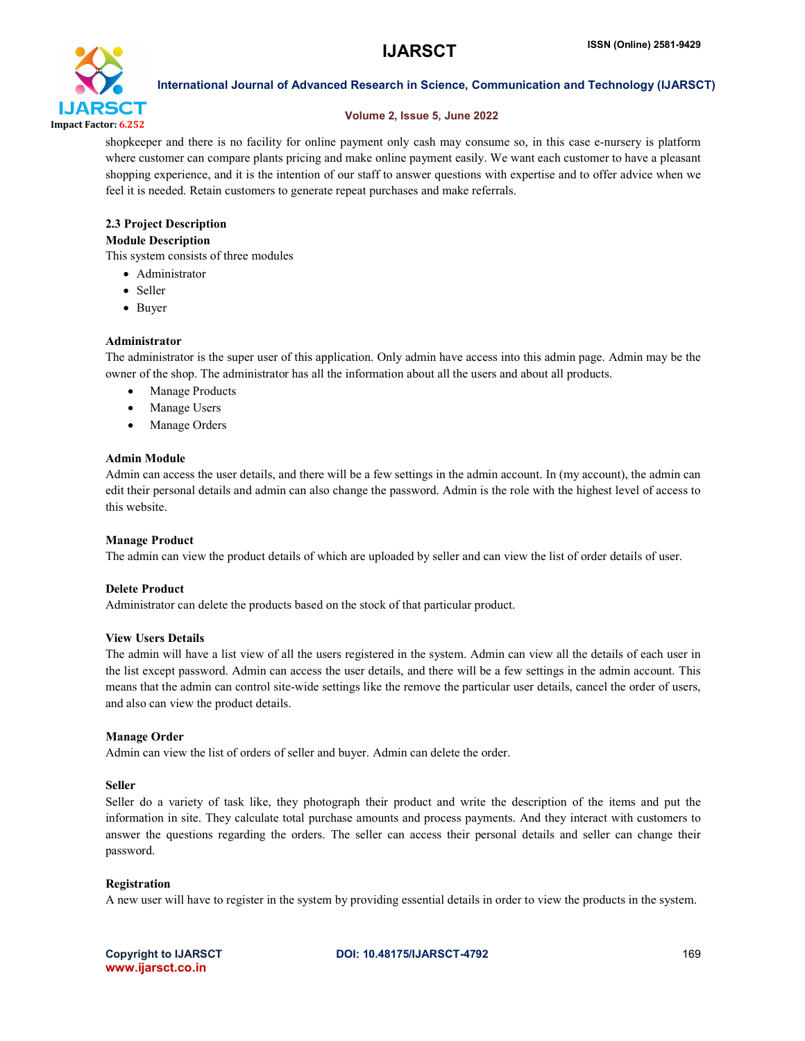

#### Volume 2, Issue 5, June 2022

shopkeeper and there is no facility for online payment only cash may consume so, in this case e-nursery is platform where customer can compare plants pricing and make online payment easily. We want each customer to have a pleasant shopping experience, and it is the intention of our staff to answer questions with expertise and to offer advice when we feel it is needed. Retain customers to generate repeat purchases and make referrals.

# 2.3 Project Description

### Module Description

This system consists of three modules

- Administrator
- Seller
- Buyer

#### Administrator

The administrator is the super user of this application. Only admin have access into this admin page. Admin may be the owner of the shop. The administrator has all the information about all the users and about all products.

- Manage Products
- Manage Users
- Manage Orders

#### Admin Module

Admin can access the user details, and there will be a few settings in the admin account. In (my account), the admin can edit their personal details and admin can also change the password. Admin is the role with the highest level of access to this website.

#### Manage Product

The admin can view the product details of which are uploaded by seller and can view the list of order details of user.

#### Delete Product

Administrator can delete the products based on the stock of that particular product.

#### View Users Details

The admin will have a list view of all the users registered in the system. Admin can view all the details of each user in the list except password. Admin can access the user details, and there will be a few settings in the admin account. This means that the admin can control site-wide settings like the remove the particular user details, cancel the order of users, and also can view the product details.

#### Manage Order

Admin can view the list of orders of seller and buyer. Admin can delete the order.

#### Seller

Seller do a variety of task like, they photograph their product and write the description of the items and put the information in site. They calculate total purchase amounts and process payments. And they interact with customers to answer the questions regarding the orders. The seller can access their personal details and seller can change their password.

#### Registration

A new user will have to register in the system by providing essential details in order to view the products in the system.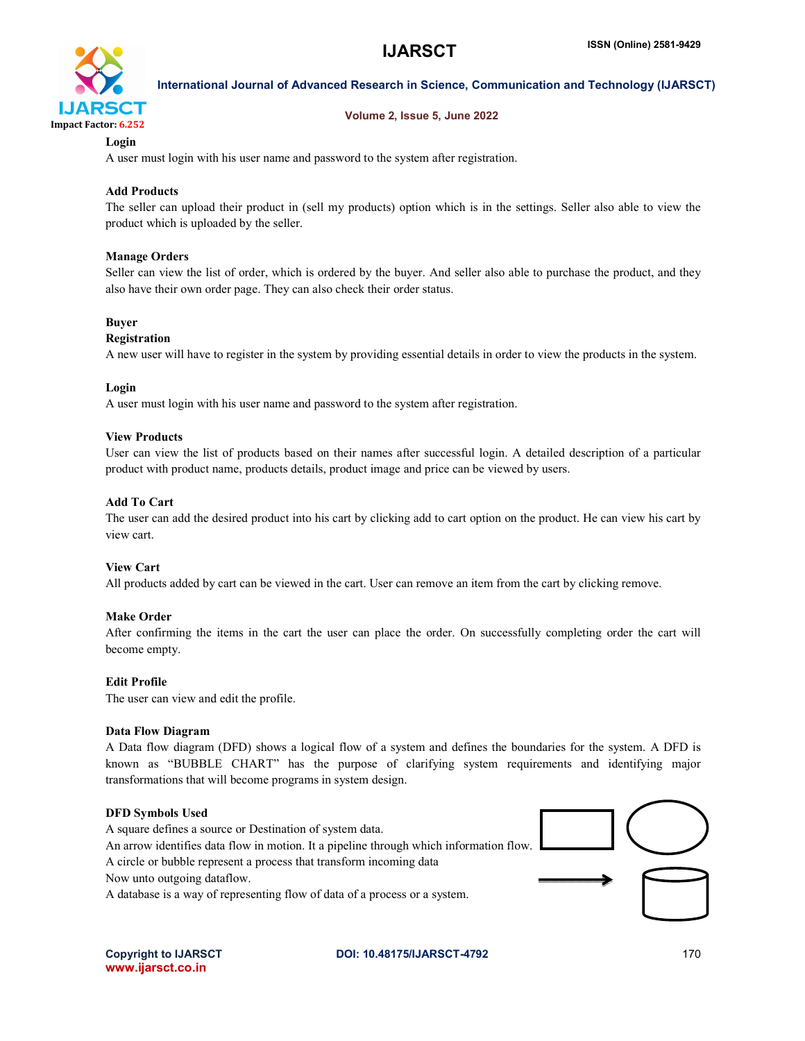

#### Volume 2, Issue 5, June 2022

### Login

A user must login with his user name and password to the system after registration.

#### Add Products

The seller can upload their product in (sell my products) option which is in the settings. Seller also able to view the product which is uploaded by the seller.

#### Manage Orders

Seller can view the list of order, which is ordered by the buyer. And seller also able to purchase the product, and they also have their own order page. They can also check their order status.

#### Buyer

#### Registration

A new user will have to register in the system by providing essential details in order to view the products in the system.

#### Login

A user must login with his user name and password to the system after registration.

#### View Products

User can view the list of products based on their names after successful login. A detailed description of a particular product with product name, products details, product image and price can be viewed by users.

#### Add To Cart

The user can add the desired product into his cart by clicking add to cart option on the product. He can view his cart by view cart.

#### View Cart

All products added by cart can be viewed in the cart. User can remove an item from the cart by clicking remove.

#### Make Order

After confirming the items in the cart the user can place the order. On successfully completing order the cart will become empty.

#### Edit Profile

The user can view and edit the profile.

#### Data Flow Diagram

A Data flow diagram (DFD) shows a logical flow of a system and defines the boundaries for the system. A DFD is known as "BUBBLE CHART" has the purpose of clarifying system requirements and identifying major transformations that will become programs in system design.

#### DFD Symbols Used

A square defines a source or Destination of system data.

An arrow identifies data flow in motion. It a pipeline through which information flow.

A circle or bubble represent a process that transform incoming data

Now unto outgoing dataflow.

A database is a way of representing flow of data of a process or a system.



#### Copyright to IJARSCT **DOI: 10.48175/IJARSCT-4792** 170